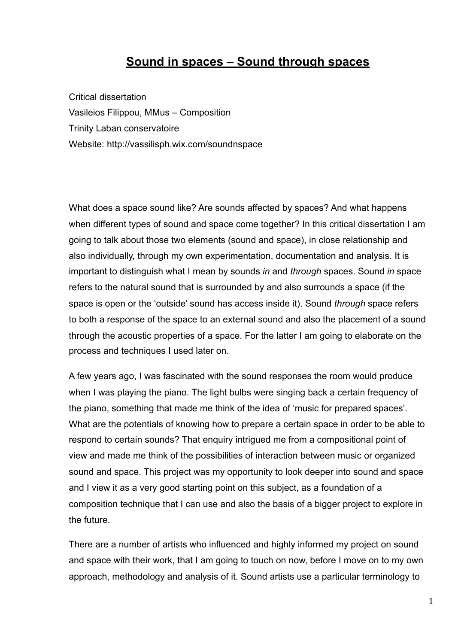## **Sound in spaces – Sound through spaces**

Critical dissertation Vasileios Filippou, MMus – Composition Trinity Laban conservatoire Website: <http://vassilisph.wix.com/soundnspace>

What does a space sound like? Are sounds affected by spaces? And what happens when different types of sound and space come together? In this critical dissertation I am going to talk about those two elements (sound and space), in close relationship and also individually, through my own experimentation, documentation and analysis. It is important to distinguish what I mean by sounds *in* and *through* spaces. Sound *in* space refers to the natural sound that is surrounded by and also surrounds a space (if the space is open or the 'outside' sound has access inside it). Sound *through* space refers to both a response of the space to an external sound and also the placement of a sound through the acoustic properties of a space. For the latter I am going to elaborate on the process and techniques I used later on.

A few years ago, I was fascinated with the sound responses the room would produce when I was playing the piano. The light bulbs were singing back a certain frequency of the piano, something that made me think of the idea of 'music for prepared spaces'. What are the potentials of knowing how to prepare a certain space in order to be able to respond to certain sounds? That enquiry intrigued me from a compositional point of view and made me think of the possibilities of interaction between music or organized sound and space. This project was my opportunity to look deeper into sound and space and I view it as a very good starting point on this subject, as a foundation of a composition technique that I can use and also the basis of a bigger project to explore in the future.

There are a number of artists who influenced and highly informed my project on sound and space with their work, that I am going to touch on now, before I move on to my own approach, methodology and analysis of it. Sound artists use a particular terminology to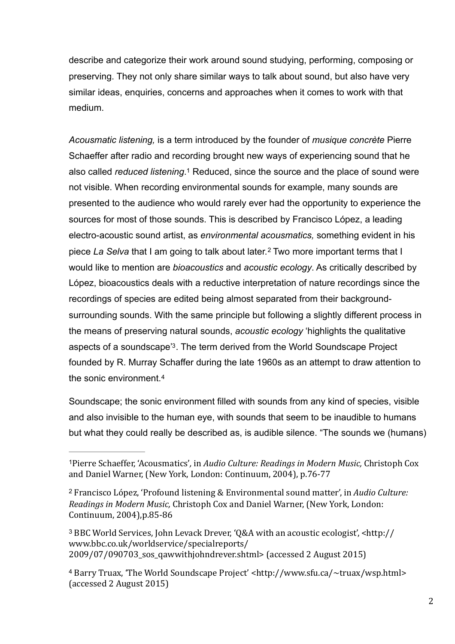describe and categorize their work around sound studying, performing, composing or preserving. They not only share similar ways to talk about sound, but also have very similar ideas, enquiries, concerns and approaches when it comes to work with that medium.

<span id="page-1-5"></span><span id="page-1-4"></span>*Acousmatic listening,* is a term introduced by the founder of *musique concrète* Pierre Schaeffer after radio and recording brought new ways of experiencing sound that he also called *reduced listening*.<sup>[1](#page-1-0)</sup> Reduced, since the source and the place of sound were not visible. When recording environmental sounds for example, many sounds are presented to the audience who would rarely ever had the opportunity to experience the sources for most of those sounds. This is described by Francisco López, a leading electro-acoustic sound artist, as *environmental acousmatics,* something evident in his piece*La Selva* that I am going to talk about later.<sup>[2](#page-1-1)</sup> Two more important terms that I would like to mention are *bioacoustics* and *acoustic ecology*. As critically described by López, bioacoustics deals with a reductive interpretation of nature recordings since the recordings of species are edited being almost separated from their backgroundsurrounding sounds. With the same principle but following a slightly different process in the means of preserving natural sounds, *acoustic ecology* 'highlights the qualitative aspects of a soundscape<sup>3</sup>[.](#page-1-2) The term derived from the World Soundscape Project founded by R. Murray Schaffer during the late 1960s as an attempt to draw attention to the sonic environment.[4](#page-1-3)

<span id="page-1-7"></span><span id="page-1-6"></span>Soundscape; the sonic environment filled with sounds from any kind of species, visible and also invisible to the human eye, with sounds that seem to be inaudible to humans but what they could really be described as, is audible silence. "The sounds we (humans)

<span id="page-1-0"></span><sup>&</sup>lt;sup>[1](#page-1-4)</sup> Pierre Schaeffer, 'Acousmatics', in *Audio Culture: Readings in Modern Music*, Christoph Cox and Daniel Warner, (New York, London: Continuum, 2004), p.76-77

<span id="page-1-1"></span><sup>&</sup>lt;sup>[2](#page-1-5)</sup> Francisco López, 'Profound listening & Environmental sound matter', in *Audio Culture: Readings in Modern Music,* Christoph Cox and Daniel Warner, (New York, London: Continuum, 2004),p.85-86

<span id="page-1-2"></span><sup>&</sup>lt;sup>3</sup> BBC World Services, John Levack Drever, 'O&A with an acoustic ecologist', [<http://](http://www.bbc.co.uk/worldservice/specialreports/2009/07/090703_sos_qawwithjohndrever.shtml) [www.bbc.co.uk/worldservice/specialreports/](http://www.bbc.co.uk/worldservice/specialreports/2009/07/090703_sos_qawwithjohndrever.shtml) 2009/07/090703 sos qawwithjohndrever.shtml> (accessed 2 August 2015)

<span id="page-1-3"></span><sup>&</sup>lt;sup>4</sup> Barry Truax, 'The World Soundscape Project' [<http://www.sfu.ca/~truax/wsp.html>](http://www.sfu.ca/~truax/wsp.html) (accessed 2 August 2015)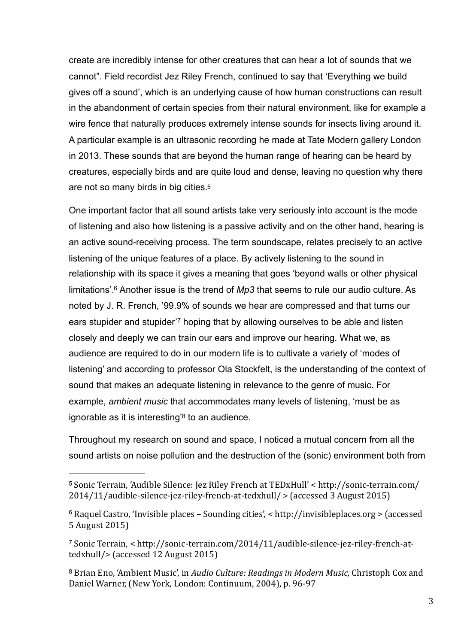create are incredibly intense for other creatures that can hear a lot of sounds that we cannot". Field recordist Jez Riley French, continued to say that 'Everything we build gives off a sound', which is an underlying cause of how human constructions can result in the abandonment of certain species from their natural environment, like for example a wire fence that naturally produces extremely intense sounds for insects living around it. A particular example is an ultrasonic recording he made at Tate Modern gallery London in 2013. These sounds that are beyond the human range of hearing can be heard by creatures, especially birds and are quite loud and dense, leaving no question why there are not so many birds in big cities[.5](#page-2-0)

<span id="page-2-6"></span><span id="page-2-5"></span><span id="page-2-4"></span>One important factor that all sound artists take very seriously into account is the mode of listening and also how listening is a passive activity and on the other hand, hearing is an active sound-receiving process. The term soundscape, relates precisely to an active listening of the unique features of a place. By actively listening to the sound in relationship with its space it gives a meaning that goes 'beyond walls or other physical limitations'.<sup>6</sup> Another issue is the trend of *Mp3* that seems to rule our audio culture[.](#page-2-1) As noted by J. R. French, '99.9% of sounds we hear are compressed and that turns our ears stupider and stupider<sup>'[7](#page-2-2)</sup> hoping that by allowing ourselves to be able and listen closely and deeply we can train our ears and improve our hearing. What we, as audience are required to do in our modern life is to cultivate a variety of 'modes of listening' and according to professor Ola Stockfelt, is the understanding of the context of sound that makes an adequate listening in relevance to the genre of music. For example, *ambient music* that accommodates many levels of listening, 'must be as ignorable as it is interesting'<sup>[8](#page-2-3)</sup> to an audience.

<span id="page-2-7"></span>Throughout my research on sound and space, I noticed a mutual concern from all the sound artists on noise pollution and the destruction of the (sonic) environment both from

<span id="page-2-0"></span><sup>&</sup>lt;sup>[5](#page-2-4)</sup> Sonic Terrain, 'Audible Silence: Jez Riley French at TEDxHull' < http://sonic-terrain.com/  $2014/11/$ audible-silence-jez-riley-french-at-tedxhull/  $>$  (accessed 3 August 2015)

<span id="page-2-1"></span> $6$  Raquel Castro, 'Invisible places – Sounding cities', < http://invisibleplaces.org > (accessed 5 August 2015)

<span id="page-2-2"></span><sup>&</sup>lt;sup>[7](#page-2-6)</sup> Sonic Terrain, < http://sonic-terrain.com/2014/11/audible-silence-jez-riley-french-at[tedxhull/>](http://sonic-terrain.com/2014/11/audible-silence-jez-riley-french-at-tedxhull/) (accessed 12 August 2015)

<span id="page-2-3"></span><sup>&</sup>lt;sup>[8](#page-2-7)</sup> Brian Eno, 'Ambient Music', in *Audio Culture: Readings in Modern Music*, Christoph Cox and Daniel Warner, (New York, London: Continuum, 2004), p. 96-97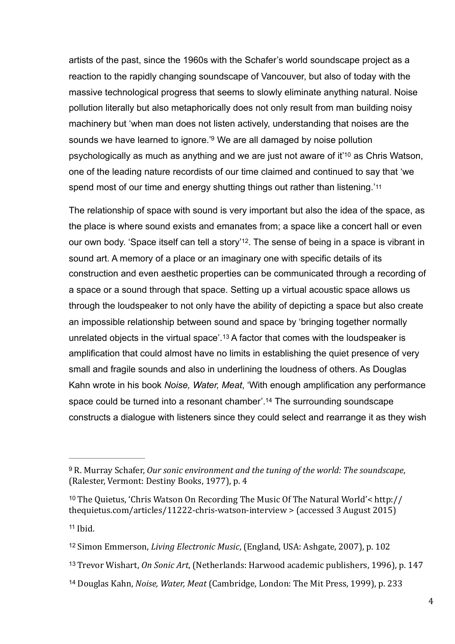artists of the past, since the 1960s with the Schafer's world soundscape project as a reaction to the rapidly changing soundscape of Vancouver, but also of today with the massive technological progress that seems to slowly eliminate anything natural. Noise pollution literally but also metaphorically does not only result from man building noisy machinery but 'when man does not listen actively, understanding that noises are the sounds we have learned to ignore.<sup>'[9](#page-3-0)</sup> We are all damaged by noise pollution psychologically as much as anything and we are just not aware of it<sup>['](#page-3-1)[10](#page-3-1)</sup> as Chris Watson, one of the leading nature recordists of our time claimed and continued to say that 'we spend most of our time and energy shutting things out rather than listening.'[11](#page-3-2)

<span id="page-3-10"></span><span id="page-3-9"></span><span id="page-3-8"></span><span id="page-3-7"></span><span id="page-3-6"></span>The relationship of space with sound is very important but also the idea of the space, as the place is where sound exists and emanates from; a space like a concert hall or even our own body[.](#page-3-3) 'Space itself can tell a story'<sup>[12](#page-3-3)</sup>. The sense of being in a space is vibrant in sound art. A memory of a place or an imaginary one with specific details of its construction and even aesthetic properties can be communicated through a recording of a space or a sound through that space. Setting up a virtual acoustic space allows us through the loudspeaker to not only have the ability of depicting a space but also create an impossible relationship between sound and space by 'bringing together normally unrelatedobjects in the virtual space'.<sup>[13](#page-3-4)</sup> A factor that comes with the loudspeaker is amplification that could almost have no limits in establishing the quiet presence of very small and fragile sounds and also in underlining the loudness of others. As Douglas Kahn wrote in his book *Noise, Water, Meat*, 'With enough amplification any performance space could be turned into a resonant chamber'[.](#page-3-5)<sup>[14](#page-3-5)</sup> The surrounding soundscape constructs a dialogue with listeners since they could select and rearrange it as they wish

<span id="page-3-2"></span> $11$  Ibid.

- <span id="page-3-4"></span><sup>[13](#page-3-10)</sup> Trevor Wishart, *On Sonic Art*, (Netherlands: Harwood academic publishers, 1996), p. 147
- <span id="page-3-5"></span><sup>[14](#page-3-11)</sup> Douglas Kahn, *Noise, Water, Meat* (Cambridge, London: The Mit Press, 1999), p. 233

<span id="page-3-11"></span><span id="page-3-0"></span><sup>&</sup>lt;sup>[9](#page-3-6)</sup> R. Murray Schafer, *Our sonic environment and the tuning of the world: The soundscape,* (Ralester, Vermont: Destiny Books, 1977), p. 4

<span id="page-3-1"></span><sup>&</sup>lt;sup>[10](#page-3-7)</sup> The Ouietus, 'Chris Watson On Recording The Music Of The Natural World'< http:// thequietus.com/articles/11222-chris-watson-interview  $>$  (accessed 3 August 2015)

<span id="page-3-3"></span><sup>&</sup>lt;sup>[12](#page-3-9)</sup> Simon Emmerson, *Living Electronic Music*, (England, USA: Ashgate, 2007), p. 102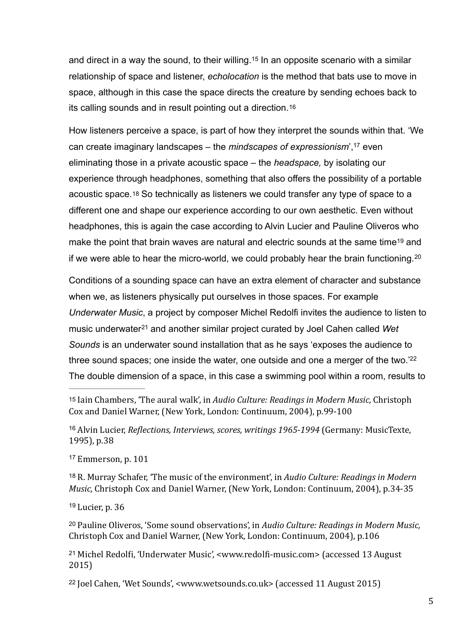<span id="page-4-8"></span>anddirect in a way the sound, to their willing.<sup>[15](#page-4-0)</sup> In an opposite scenario with a similar relationship of space and listener, *echolocation* is the method that bats use to move in space, although in this case the space directs the creature by sending echoes back to its calling sounds and in result pointing out a direction.[16](#page-4-1)

<span id="page-4-11"></span><span id="page-4-10"></span><span id="page-4-9"></span>How listeners perceive a space, is part of how they interpret the sounds within that. 'We can create imaginary landscapes – the *mindscapes of expressionism*<sup>'[,](#page-4-2) [17](#page-4-2)</sup> even eliminating those in a private acoustic space – the *headspace,* by isolating our experience through headphones, something that also offers the possibility of a portable acoustic space.[18](#page-4-3) So technically as listeners we could transfer any type of space to a different one and shape our experience according to our own aesthetic. Even without headphones, this is again the case according to Alvin Lucier and Pauline Oliveros who makethe point that brain waves are natural and electric sounds at the same time<sup>[19](#page-4-4)</sup> and if we were able to hear the micro-world, we could probably hear the brain functioning. [20](#page-4-5)

<span id="page-4-14"></span><span id="page-4-13"></span><span id="page-4-12"></span>Conditions of a sounding space can have an extra element of character and substance when we, as listeners physically put ourselves in those spaces. For example *Underwater Music*, a project by composer Michel Redolfi invites the audience to listen to musicunderwater<sup>21</sup> and another similar project curated by Joel Cahen called Wet *Sounds* is an underwater sound installation that as he says 'exposes the audience to three sound spaces; one inside the water, one outside and one a merger of the two.['22](#page-4-7) The double dimension of a space, in this case a swimming pool within a room, results to

<span id="page-4-15"></span><span id="page-4-0"></span>[15](#page-4-8) Iain Chambers, 'The aural walk', in *Audio Culture: Readings in Modern Music*, Christoph Cox and Daniel Warner, (New York, London: Continuum, 2004), p.99-100

<span id="page-4-1"></span><sup>[16](#page-4-9)</sup> Alvin Lucier, *Reflections, Interviews, scores, writings* 1965-1994 (Germany: MusicTexte, 1995), p.38

<span id="page-4-2"></span> $17$  Emmerson, p.  $101$ 

<span id="page-4-3"></span><sup>[18](#page-4-11)</sup> R. Murray Schafer, 'The music of the environment', in *Audio Culture: Readings in Modern Music,* Christoph Cox and Daniel Warner, (New York, London: Continuum, 2004), p.34-35

<span id="page-4-4"></span> $19$  Lucier, p. 36

<span id="page-4-5"></span><sup>[20](#page-4-13)</sup> Pauline Oliveros, 'Some sound observations', in *Audio Culture: Readings in Modern Music*, Christoph Cox and Daniel Warner, (New York, London: Continuum, 2004), p.106

<span id="page-4-6"></span><sup>[21](#page-4-14)</sup> Michel Redolfi, 'Underwater Music', <www.redolfi-music.com> (accessed 13 August 2015)

<span id="page-4-7"></span> $22$  Joel Cahen, 'Wet Sounds', [<www.wetsounds.co.uk](http://www.wetsounds.co.uk)> (accessed 11 August 2015)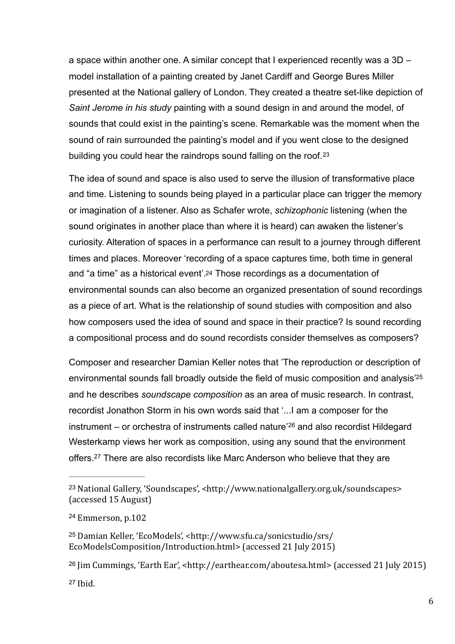a space within another one. A similar concept that I experienced recently was a 3D – model installation of a painting created by Janet Cardiff and George Bures Miller presented at the National gallery of London. They created a theatre set-like depiction of *Saint Jerome in his study* painting with a sound design in and around the model, of sounds that could exist in the painting's scene. Remarkable was the moment when the sound of rain surrounded the painting's model and if you went close to the designed building you could hear the raindrops sound falling on the roof.[23](#page-5-0)

<span id="page-5-5"></span>The idea of sound and space is also used to serve the illusion of transformative place and time. Listening to sounds being played in a particular place can trigger the memory or imagination of a listener. Also as Schafer wrote, *schizophonic* listening (when the sound originates in another place than where it is heard) can awaken the listener's curiosity. Alteration of spaces in a performance can result to a journey through different times and places. Moreover 'recording of a space captures time, both time in general and "a time" as a historical event'[.24](#page-5-1) Those recordings as a documentation of environmental sounds can also become an organized presentation of sound recordings as a piece of art. What is the relationship of sound studies with composition and also how composers used the idea of sound and space in their practice? Is sound recording a compositional process and do sound recordists consider themselves as composers?

<span id="page-5-8"></span><span id="page-5-7"></span><span id="page-5-6"></span>Composer and researcher Damian Keller notes that 'The reproduction or description of environmental sounds fall broadly outside the field of music composition and analysis['25](#page-5-2) and he describes *soundscape composition* as an area of music research. In contrast, recordist Jonathon Storm in his own words said that '...I am a composer for the instrument– or orchestra of instruments called nature<sup> $26$ </sup> and also recordist Hildegard Westerkamp views her work as composition, using any sound that the environment offers[.](#page-5-4)<sup>[27](#page-5-4)</sup> There are also recordists like Marc Anderson who believe that they are

<span id="page-5-9"></span><span id="page-5-0"></span><sup>&</sup>lt;sup>23</sup> National Gallery, 'Soundscapes', <[http://www.nationalgallery.org.uk/soundscapes>](http://www.nationalgallery.org.uk/soundscapes) (accessed 15 August)

<span id="page-5-1"></span>[<sup>24</sup>](#page-5-6) Emmerson, p.102

<span id="page-5-2"></span><sup>&</sup>lt;sup>[25](#page-5-7)</sup> Damian Keller, 'EcoModels', <http://www.sfu.ca/sonicstudio/srs/ [EcoModelsComposition/Introduction.html>](http://www.sfu.ca/sonicstudio/srs/EcoModelsComposition/Introduction.html) (accessed 21 July 2015)

<span id="page-5-4"></span><span id="page-5-3"></span> $26$  Jim Cummings, 'Earth Ear', <http://earthear.com/aboutesa.html> (accessed 21 July 2015)  $27$  Ibid.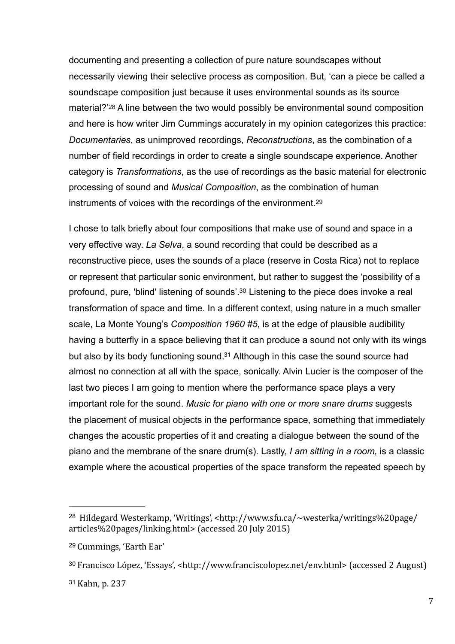<span id="page-6-4"></span>documenting and presenting a collection of pure nature soundscapes without necessarily viewing their selective process as composition. But, 'can a piece be called a soundscape composition just because it uses environmental sounds as its source material?['28](#page-6-0) A line between the two would possibly be environmental sound composition and here is how writer Jim Cummings accurately in my opinion categorizes this practice: *Documentaries*, as unimproved recordings, *Reconstructions*, as the combination of a number of field recordings in order to create a single soundscape experience. Another category is *Transformations*, as the use of recordings as the basic material for electronic processing of sound and *Musical Composition*, as the combination of human instruments of voices with the recordings of the environment.<sup>29</sup>

<span id="page-6-7"></span><span id="page-6-6"></span><span id="page-6-5"></span>I chose to talk briefly about four compositions that make use of sound and space in a very effective way. *La Selva*, a sound recording that could be described as a reconstructive piece, uses the sounds of a place (reserve in Costa Rica) not to replace or represent that particular sonic environment, but rather to suggest the 'possibility of a profound, pure, 'blind' listening of sounds'[.](#page-6-2)<sup>[30](#page-6-2)</sup> Listening to the piece does invoke a real transformation of space and time. In a different context, using nature in a much smaller scale, La Monte Young's *Composition 1960 #5*, is at the edge of plausible audibility having a butterfly in a space believing that it can produce a sound not only with its wings but also by its body functioning sound[.](#page-6-3) $31$  Although in this case the sound source had almost no connection at all with the space, sonically. Alvin Lucier is the composer of the last two pieces I am going to mention where the performance space plays a very important role for the sound. *Music for piano with one or more snare drums* suggests the placement of musical objects in the performance space, something that immediately changes the acoustic properties of it and creating a dialogue between the sound of the piano and the membrane of the snare drum(s). Lastly, *I am sitting in a room,* is a classic example where the acoustical properties of the space transform the repeated speech by

<span id="page-6-0"></span><sup>&</sup>lt;sup>28</sup> Hildegard Westerkamp, 'Writings', [<http://www.sfu.ca/~westerka/writings%20page/](http://www.sfu.ca/~westerka/writings%2520page/articles%2520pages/linking.html) [articles%20pages/linking.html](http://www.sfu.ca/~westerka/writings%2520page/articles%2520pages/linking.html)> (accessed 20 July 2015)

<span id="page-6-1"></span><sup>&</sup>lt;sup>[29](#page-6-5)</sup> Cummings, 'Earth Ear'

<span id="page-6-3"></span><span id="page-6-2"></span><sup>&</sup>lt;sup>30</sup> Francisco López, 'Essays', <<http://www.franciscolopez.net/env.html>> (accessed 2 August) [31](#page-6-7) Kahn, p. 237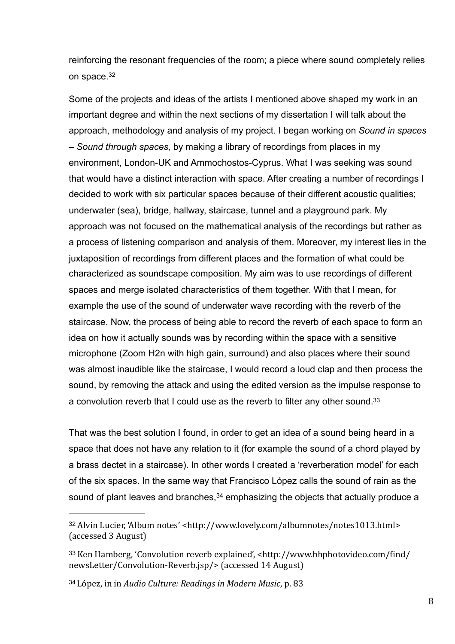<span id="page-7-3"></span>reinforcing the resonant frequencies of the room; a piece where sound completely relies on space.[32](#page-7-0)

Some of the projects and ideas of the artists I mentioned above shaped my work in an important degree and within the next sections of my dissertation I will talk about the approach, methodology and analysis of my project. I began working on *Sound in spaces – Sound through spaces,* by making a library of recordings from places in my environment, London-UK and Ammochostos-Cyprus. What I was seeking was sound that would have a distinct interaction with space. After creating a number of recordings I decided to work with six particular spaces because of their different acoustic qualities; underwater (sea), bridge, hallway, staircase, tunnel and a playground park. My approach was not focused on the mathematical analysis of the recordings but rather as a process of listening comparison and analysis of them. Moreover, my interest lies in the juxtaposition of recordings from different places and the formation of what could be characterized as soundscape composition. My aim was to use recordings of different spaces and merge isolated characteristics of them together. With that I mean, for example the use of the sound of underwater wave recording with the reverb of the staircase. Now, the process of being able to record the reverb of each space to form an idea on how it actually sounds was by recording within the space with a sensitive microphone (Zoom H2n with high gain, surround) and also places where their sound was almost inaudible like the staircase, I would record a loud clap and then process the sound, by removing the attack and using the edited version as the impulse response to a convolution reverb that I could use as the reverb to filter any other sound[.](#page-7-1)<sup>[33](#page-7-1)</sup>

<span id="page-7-4"></span>That was the best solution I found, in order to get an idea of a sound being heard in a space that does not have any relation to it (for example the sound of a chord played by a brass dectet in a staircase). In other words I created a 'reverberation model' for each of the six spaces. In the same way that Francisco López calls the sound of rain as the soundof plant leaves and branches,  $34$  emphasizing the objects that actually produce a

<span id="page-7-5"></span><span id="page-7-0"></span><sup>&</sup>lt;sup>32</sup> Alvin Lucier, 'Album notes' <<http://www.lovely.com/albumnotes/notes1013.html>> (accessed 3 August)

<span id="page-7-1"></span> $33$  Ken Hamberg, 'Convolution reverb explained', <http://www.bhphotovideo.com/find/ [newsLetter/Convolution-Reverb.jsp/](http://www.bhphotovideo.com/find/newsLetter/Convolution-Reverb.jsp/)> (accessed 14 August)

<span id="page-7-2"></span><sup>&</sup>lt;sup>[34](#page-7-5)</sup> López, in in *Audio Culture: Readings in Modern Music*, p. 83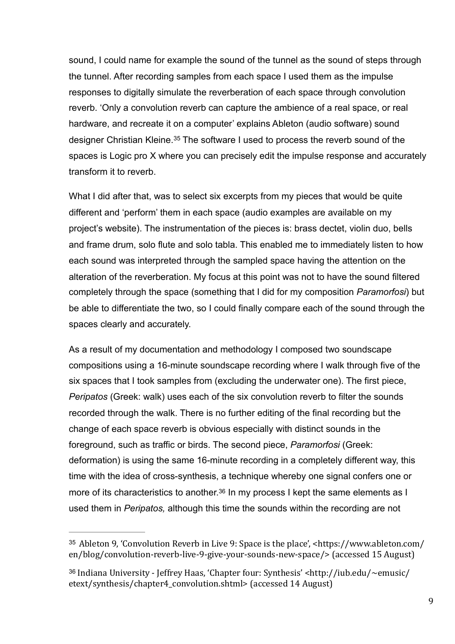sound, I could name for example the sound of the tunnel as the sound of steps through the tunnel. After recording samples from each space I used them as the impulse responses to digitally simulate the reverberation of each space through convolution reverb. 'Only a convolution reverb can capture the ambience of a real space, or real hardware, and recreate it on a computer' explains Ableton (audio software) sound designerChristian Kleine.<sup>[35](#page-8-0)</sup> The software I used to process the reverb sound of the spaces is Logic pro X where you can precisely edit the impulse response and accurately transform it to reverb.

<span id="page-8-2"></span>What I did after that, was to select six excerpts from my pieces that would be quite different and 'perform' them in each space (audio examples are available on my project's website). The instrumentation of the pieces is: brass dectet, violin duo, bells and frame drum, solo flute and solo tabla. This enabled me to immediately listen to how each sound was interpreted through the sampled space having the attention on the alteration of the reverberation. My focus at this point was not to have the sound filtered completely through the space (something that I did for my composition *Paramorfosi*) but be able to differentiate the two, so I could finally compare each of the sound through the spaces clearly and accurately.

As a result of my documentation and methodology I composed two soundscape compositions using a 16-minute soundscape recording where I walk through five of the six spaces that I took samples from (excluding the underwater one). The first piece, *Peripatos* (Greek: walk) uses each of the six convolution reverb to filter the sounds recorded through the walk. There is no further editing of the final recording but the change of each space reverb is obvious especially with distinct sounds in the foreground, such as traffic or birds. The second piece, *Paramorfosi* (Greek: deformation) is using the same 16-minute recording in a completely different way, this time with the idea of cross-synthesis, a technique whereby one signal confers one or more of its characteristics to another.<sup>[36](#page-8-1)</sup> In my process I kept the same elements as I used them in *Peripatos,* although this time the sounds within the recording are not

<span id="page-8-3"></span><span id="page-8-0"></span><sup>&</sup>lt;sup>[35](#page-8-2)</sup> Ableton 9, 'Convolution Reverb in Live 9: Space is the place', <https://www.ableton.com/ [en/blog/convolution-reverb-live-9-give-your-sounds-new-space/>](https://www.ableton.com/en/blog/convolution-reverb-live-9-give-your-sounds-new-space/) (accessed 15 August)

<span id="page-8-1"></span> $36$  Indiana University - Ieffrey Haas, 'Chapter four: Synthesis' <http://iub.edu/~emusic/ etext/synthesis/chapter4 convolution.shtml> (accessed 14 August)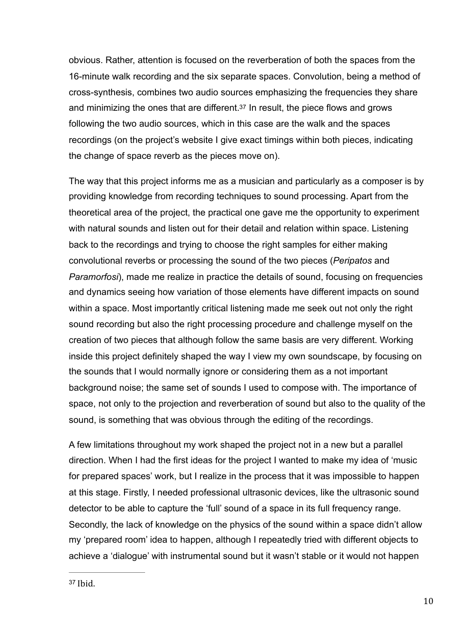<span id="page-9-1"></span>obvious. Rather, attention is focused on the reverberation of both the spaces from the 16-minute walk recording and the six separate spaces. Convolution, being a method of cross-synthesis, combines two audio sources emphasizing the frequencies they share and minimizing the ones that are different[.37](#page-9-0) In result, the piece flows and grows following the two audio sources, which in this case are the walk and the spaces recordings (on the project's website I give exact timings within both pieces, indicating the change of space reverb as the pieces move on).

The way that this project informs me as a musician and particularly as a composer is by providing knowledge from recording techniques to sound processing. Apart from the theoretical area of the project, the practical one gave me the opportunity to experiment with natural sounds and listen out for their detail and relation within space. Listening back to the recordings and trying to choose the right samples for either making convolutional reverbs or processing the sound of the two pieces (*Peripatos* and *Paramorfosi*), made me realize in practice the details of sound, focusing on frequencies and dynamics seeing how variation of those elements have different impacts on sound within a space. Most importantly critical listening made me seek out not only the right sound recording but also the right processing procedure and challenge myself on the creation of two pieces that although follow the same basis are very different. Working inside this project definitely shaped the way I view my own soundscape, by focusing on the sounds that I would normally ignore or considering them as a not important background noise; the same set of sounds I used to compose with. The importance of space, not only to the projection and reverberation of sound but also to the quality of the sound, is something that was obvious through the editing of the recordings.

<span id="page-9-0"></span>A few limitations throughout my work shaped the project not in a new but a parallel direction. When I had the first ideas for the project I wanted to make my idea of 'music for prepared spaces' work, but I realize in the process that it was impossible to happen at this stage. Firstly, I needed professional ultrasonic devices, like the ultrasonic sound detector to be able to capture the 'full' sound of a space in its full frequency range. Secondly, the lack of knowledge on the physics of the sound within a space didn't allow my 'prepared room' idea to happen, although I repeatedly tried with different objects to achieve a 'dialogue' with instrumental sound but it wasn't stable or it would not happen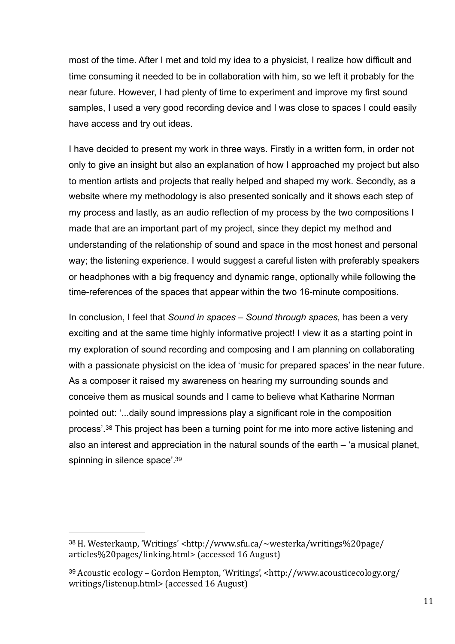most of the time. After I met and told my idea to a physicist, I realize how difficult and time consuming it needed to be in collaboration with him, so we left it probably for the near future. However, I had plenty of time to experiment and improve my first sound samples, I used a very good recording device and I was close to spaces I could easily have access and try out ideas.

I have decided to present my work in three ways. Firstly in a written form, in order not only to give an insight but also an explanation of how I approached my project but also to mention artists and projects that really helped and shaped my work. Secondly, as a website where my methodology is also presented sonically and it shows each step of my process and lastly, as an audio reflection of my process by the two compositions I made that are an important part of my project, since they depict my method and understanding of the relationship of sound and space in the most honest and personal way; the listening experience. I would suggest a careful listen with preferably speakers or headphones with a big frequency and dynamic range, optionally while following the time-references of the spaces that appear within the two 16-minute compositions.

<span id="page-10-2"></span>In conclusion, I feel that *Sound in spaces – Sound through spaces,* has been a very exciting and at the same time highly informative project! I view it as a starting point in my exploration of sound recording and composing and I am planning on collaborating with a passionate physicist on the idea of 'music for prepared spaces' in the near future. As a composer it raised my awareness on hearing my surrounding sounds and conceive them as musical sounds and I came to believe what Katharine Norman pointed out: '...daily sound impressions play a significant role in the composition process'.<sup>[38](#page-10-0)</sup> This project has been a turning point for me into more active listening and also an interest and appreciation in the natural sounds of the earth – 'a musical planet, spinning in silence space'[.](#page-10-1)<sup>[39](#page-10-1)</sup>

<span id="page-10-3"></span><span id="page-10-0"></span>[<sup>38</sup>](#page-10-2) H. Westerkamp, 'Writings' <http://www.sfu.ca/~westerka/writings%20page/ articles%20pages/linking.html> (accessed 16 August)

<span id="page-10-1"></span><sup>&</sup>lt;sup>[39](#page-10-3)</sup> Acoustic ecology – Gordon Hempton, 'Writings', <http://www.acousticecology.org/ writings/listenup.html> (accessed 16 August)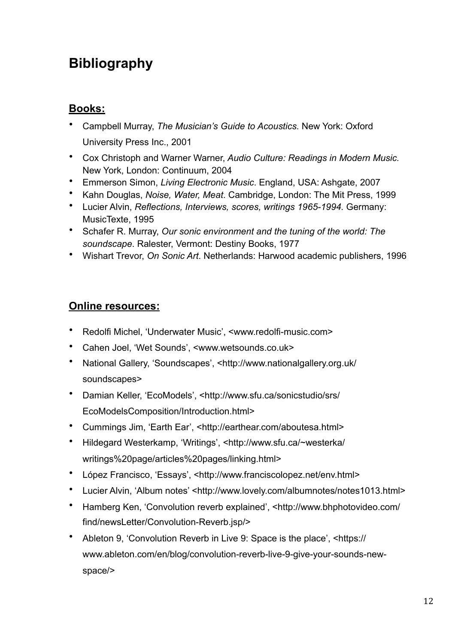## **Bibliography**

## **Books:**

- Campbell Murray, *The Musician's Guide to Acoustics.* New York: Oxford University Press Inc., 2001
- Cox Christoph and Warner Warner, *Audio Culture: Readings in Modern Music.*  New York, London: Continuum, 2004
- Emmerson Simon, *Living Electronic Music*. England, USA: Ashgate, 2007
- Kahn Douglas, *Noise, Water, Meat*. Cambridge, London: The Mit Press, 1999
- Lucier Alvin, *Reflections, Interviews, scores, writings 1965-1994.* Germany: MusicTexte, 1995
- Schafer R. Murray, *Our sonic environment and the tuning of the world: The soundscape*. Ralester, Vermont: Destiny Books, 1977
- Wishart Trevor, *On Sonic Art*. Netherlands: Harwood academic publishers, 1996

## **Online resources:**

- Redolfi Michel, 'Underwater Music', <[www.redolfi-music.com](http://www.redolfi-music.com)>
- Cahen Joel, 'Wet Sounds', <[www.wetsounds.co.uk>](http://www.wetsounds.co.uk)
- National Gallery, 'Soundscapes', <[http://www.nationalgallery.org.uk/](http://www.nationalgallery.org.uk/soundscapes) [soundscapes>](http://www.nationalgallery.org.uk/soundscapes)
- Damian Keller, 'EcoModels', <[http://www.sfu.ca/sonicstudio/srs/](http://www.sfu.ca/sonicstudio/srs/EcoModelsComposition/Introduction.html) [EcoModelsComposition/Introduction.html>](http://www.sfu.ca/sonicstudio/srs/EcoModelsComposition/Introduction.html)
- Cummings Jim, 'Earth Ear', [<http://earthear.com/aboutesa.html>](http://earthear.com/aboutesa.html)
- Hildegard Westerkamp, 'Writings', <[http://www.sfu.ca/~westerka/](http://www.sfu.ca/~westerka/writings%2520page/articles%2520pages/linking.html) [writings%20page/articles%20pages/linking.html>](http://www.sfu.ca/~westerka/writings%2520page/articles%2520pages/linking.html)
- López Francisco, 'Essays', [<http://www.franciscolopez.net/env.html>](http://www.franciscolopez.net/env.html)
- Lucier Alvin, 'Album notes' <<http://www.lovely.com/albumnotes/notes1013.html>>
- Hamberg Ken, 'Convolution reverb explained', [<http://www.bhphotovideo.com/](http://www.bhphotovideo.com/find/newsLetter/Convolution-Reverb.jsp/) [find/newsLetter/Convolution-Reverb.jsp/>](http://www.bhphotovideo.com/find/newsLetter/Convolution-Reverb.jsp/)
- Ableton 9, 'Convolution Reverb in Live 9: Space is the place', <[https://](https://www.ableton.com/en/blog/convolution-reverb-live-9-give-your-sounds-new-space/) [www.ableton.com/en/blog/convolution-reverb-live-9-give-your-sounds-new](https://www.ableton.com/en/blog/convolution-reverb-live-9-give-your-sounds-new-space/)[space/](https://www.ableton.com/en/blog/convolution-reverb-live-9-give-your-sounds-new-space/)>